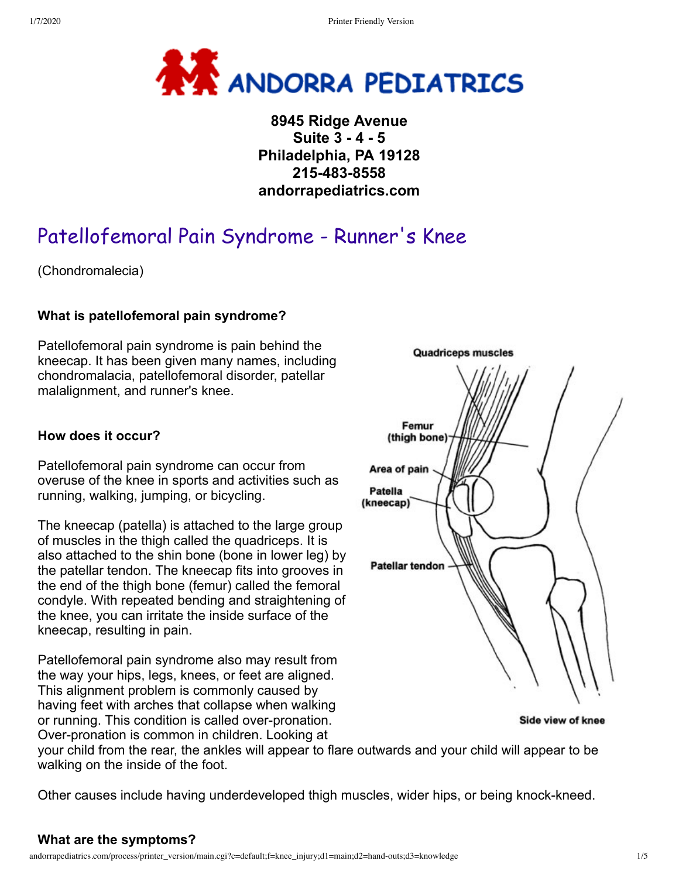

**8945 Ridge Avenue Suite 3 - 4 - 5 Philadelphia, PA 19128 215-483-8558 andorrapediatrics.com**

# Patellofemoral Pain Syndrome - Runner's Knee

(Chondromalecia)

# **What is patellofemoral pain syndrome?**

Patellofemoral pain syndrome is pain behind the kneecap. It has been given many names, including chondromalacia, patellofemoral disorder, patellar malalignment, and runner's knee.

#### **How does it occur?**

Patellofemoral pain syndrome can occur from overuse of the knee in sports and activities such as running, walking, jumping, or bicycling.

The kneecap (patella) is attached to the large group of muscles in the thigh called the quadriceps. It is also attached to the shin bone (bone in lower leg) by the patellar tendon. The kneecap fits into grooves in the end of the thigh bone (femur) called the femoral condyle. With repeated bending and straightening of the knee, you can irritate the inside surface of the kneecap, resulting in pain.

Patellofemoral pain syndrome also may result from the way your hips, legs, knees, or feet are aligned. This alignment problem is commonly caused by having feet with arches that collapse when walking or running. This condition is called over-pronation. Over-pronation is common in children. Looking at



Side view of knee

your child from the rear, the ankles will appear to flare outwards and your child will appear to be walking on the inside of the foot.

Other causes include having underdeveloped thigh muscles, wider hips, or being knock-kneed.

#### **What are the symptoms?**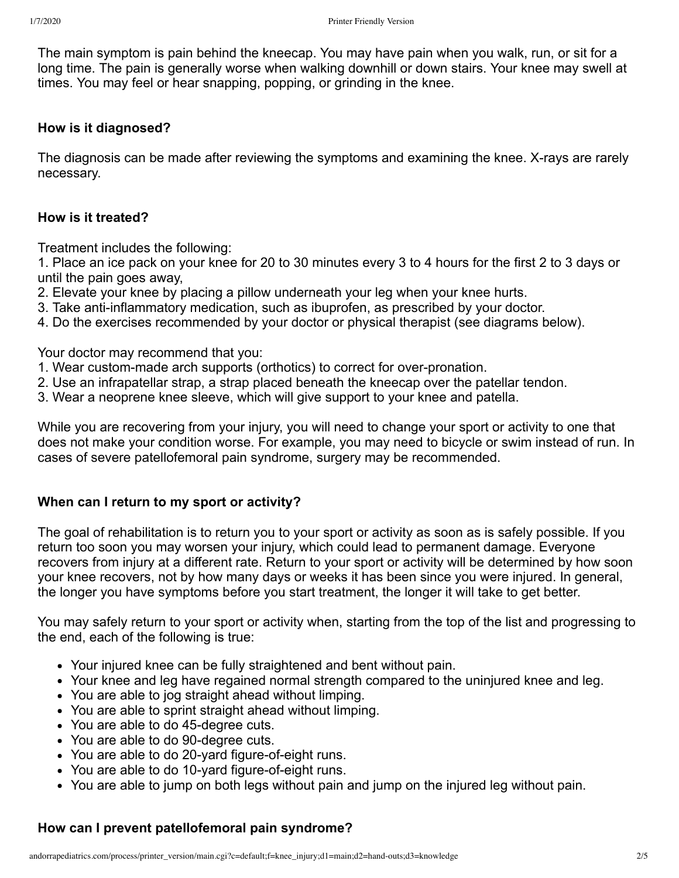The main symptom is pain behind the kneecap. You may have pain when you walk, run, or sit for a long time. The pain is generally worse when walking downhill or down stairs. Your knee may swell at times. You may feel or hear snapping, popping, or grinding in the knee.

#### **How is it diagnosed?**

The diagnosis can be made after reviewing the symptoms and examining the knee. X-rays are rarely necessary.

#### **How is it treated?**

Treatment includes the following:

1. Place an ice pack on your knee for 20 to 30 minutes every 3 to 4 hours for the first 2 to 3 days or until the pain goes away,

2. Elevate your knee by placing a pillow underneath your leg when your knee hurts.

- 3. Take anti-inflammatory medication, such as ibuprofen, as prescribed by your doctor.
- 4. Do the exercises recommended by your doctor or physical therapist (see diagrams below).

Your doctor may recommend that you:

- 1. Wear custom-made arch supports (orthotics) to correct for over-pronation.
- 2. Use an infrapatellar strap, a strap placed beneath the kneecap over the patellar tendon.
- 3. Wear a neoprene knee sleeve, which will give support to your knee and patella.

While you are recovering from your injury, you will need to change your sport or activity to one that does not make your condition worse. For example, you may need to bicycle or swim instead of run. In cases of severe patellofemoral pain syndrome, surgery may be recommended.

#### **When can I return to my sport or activity?**

The goal of rehabilitation is to return you to your sport or activity as soon as is safely possible. If you return too soon you may worsen your injury, which could lead to permanent damage. Everyone recovers from injury at a different rate. Return to your sport or activity will be determined by how soon your knee recovers, not by how many days or weeks it has been since you were injured. In general, the longer you have symptoms before you start treatment, the longer it will take to get better.

You may safely return to your sport or activity when, starting from the top of the list and progressing to the end, each of the following is true:

- Your injured knee can be fully straightened and bent without pain.
- Your knee and leg have regained normal strength compared to the uninjured knee and leg.
- You are able to jog straight ahead without limping.
- You are able to sprint straight ahead without limping.
- You are able to do 45-degree cuts.
- You are able to do 90-degree cuts.
- You are able to do 20-yard figure-of-eight runs.
- You are able to do 10-yard figure-of-eight runs.
- You are able to jump on both legs without pain and jump on the injured leg without pain.

#### **How can I prevent patellofemoral pain syndrome?**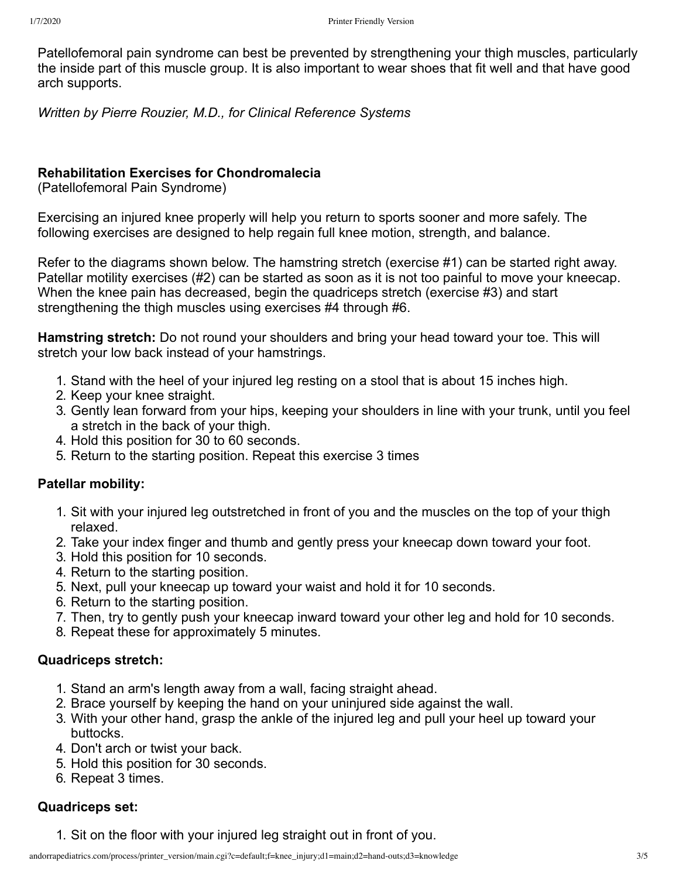Patellofemoral pain syndrome can best be prevented by strengthening your thigh muscles, particularly the inside part of this muscle group. It is also important to wear shoes that fit well and that have good arch supports.

*Written by Pierre Rouzier, M.D., for Clinical Reference Systems*

#### **Rehabilitation Exercises for Chondromalecia**

(Patellofemoral Pain Syndrome)

Exercising an injured knee properly will help you return to sports sooner and more safely. The following exercises are designed to help regain full knee motion, strength, and balance.

Refer to the diagrams shown below. The hamstring stretch (exercise #1) can be started right away. Patellar motility exercises (#2) can be started as soon as it is not too painful to move your kneecap. When the knee pain has decreased, begin the quadriceps stretch (exercise #3) and start strengthening the thigh muscles using exercises #4 through #6.

**Hamstring stretch:** Do not round your shoulders and bring your head toward your toe. This will stretch your low back instead of your hamstrings.

- 1. Stand with the heel of your injured leg resting on a stool that is about 15 inches high.
- 2. Keep your knee straight.
- 3. Gently lean forward from your hips, keeping your shoulders in line with your trunk, until you feel a stretch in the back of your thigh.
- 4. Hold this position for 30 to 60 seconds.
- 5. Return to the starting position. Repeat this exercise 3 times

#### **Patellar mobility:**

- 1. Sit with your injured leg outstretched in front of you and the muscles on the top of your thigh relaxed.
- 2. Take your index finger and thumb and gently press your kneecap down toward your foot.
- 3. Hold this position for 10 seconds.
- 4. Return to the starting position.
- 5. Next, pull your kneecap up toward your waist and hold it for 10 seconds.
- 6. Return to the starting position.
- 7. Then, try to gently push your kneecap inward toward your other leg and hold for 10 seconds.
- 8. Repeat these for approximately 5 minutes.

#### **Quadriceps stretch:**

- 1. Stand an arm's length away from a wall, facing straight ahead.
- 2. Brace yourself by keeping the hand on your uninjured side against the wall.
- 3. With your other hand, grasp the ankle of the injured leg and pull your heel up toward your buttocks.
- 4. Don't arch or twist your back.
- 5. Hold this position for 30 seconds.
- 6. Repeat 3 times.

#### **Quadriceps set:**

1. Sit on the floor with your injured leg straight out in front of you.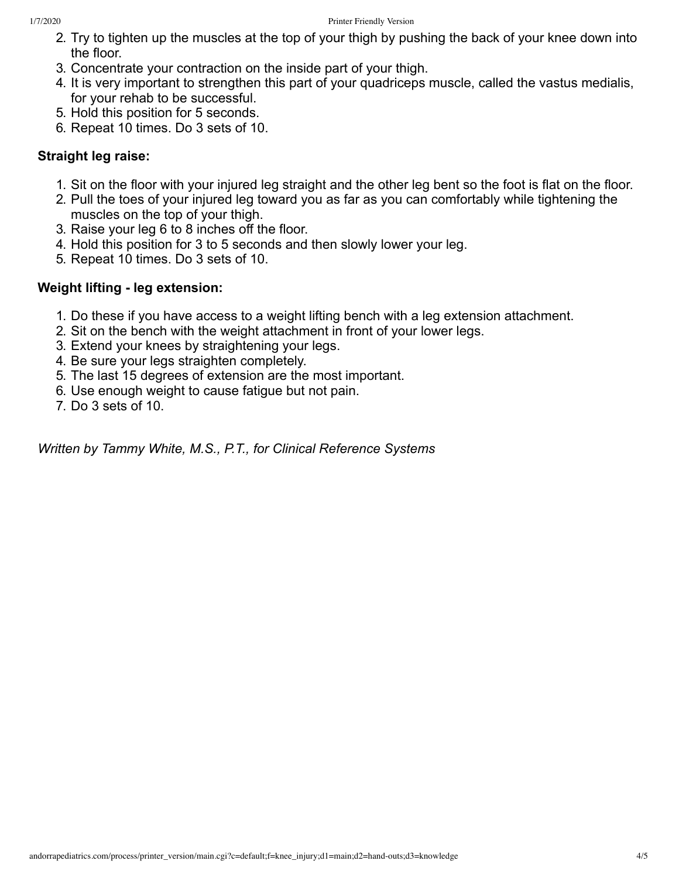- 2. Try to tighten up the muscles at the top of your thigh by pushing the back of your knee down into the floor.
- 3. Concentrate your contraction on the inside part of your thigh.
- 4. It is very important to strengthen this part of your quadriceps muscle, called the vastus medialis, for your rehab to be successful.
- 5. Hold this position for 5 seconds.
- 6. Repeat 10 times. Do 3 sets of 10.

## **Straight leg raise:**

- 1. Sit on the floor with your injured leg straight and the other leg bent so the foot is flat on the floor.
- 2. Pull the toes of your injured leg toward you as far as you can comfortably while tightening the muscles on the top of your thigh.
- 3. Raise your leg 6 to 8 inches off the floor.
- 4. Hold this position for 3 to 5 seconds and then slowly lower your leg.
- 5. Repeat 10 times. Do 3 sets of 10.

## **Weight lifting - leg extension:**

- 1. Do these if you have access to a weight lifting bench with a leg extension attachment.
- 2. Sit on the bench with the weight attachment in front of your lower legs.
- 3. Extend your knees by straightening your legs.
- 4. Be sure your legs straighten completely.
- 5. The last 15 degrees of extension are the most important.
- 6. Use enough weight to cause fatigue but not pain.
- 7. Do 3 sets of 10.

*Written by Tammy White, M.S., P.T., for Clinical Reference Systems*